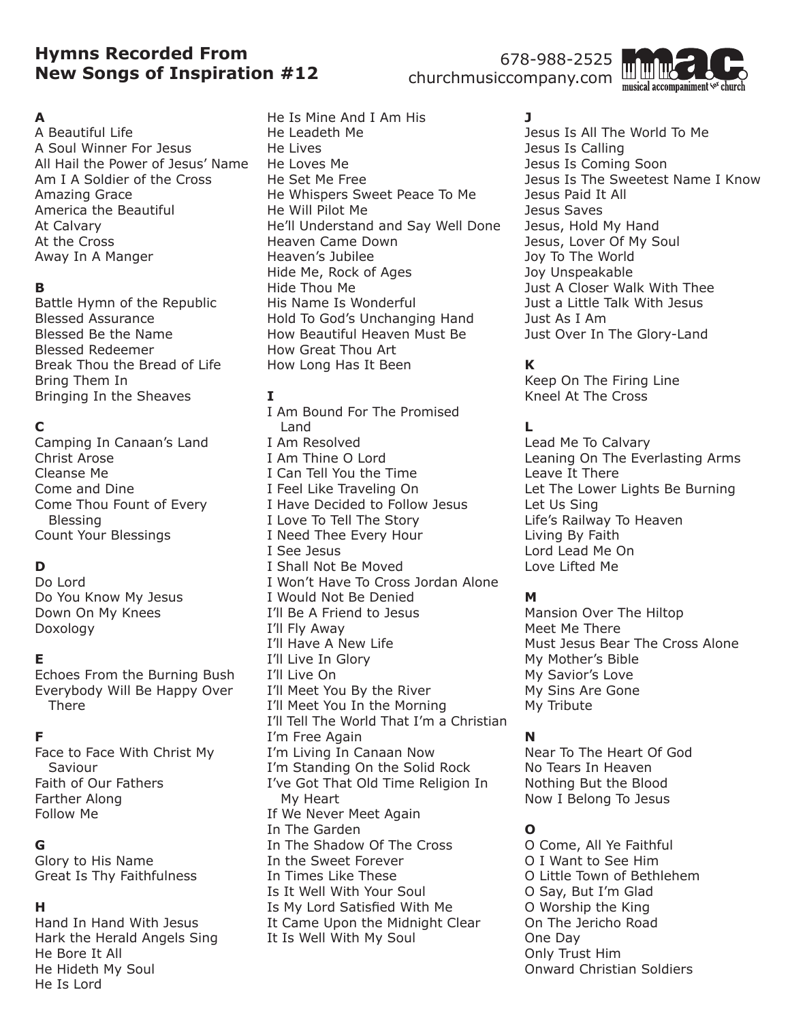# **Hymns Recorded From New Songs of Inspiration #12**

# 678-988-2525 churchmusiccompany.com

#### **A**

A Beautiful Life A Soul Winner For Jesus All Hail the Power of Jesus' Name Am I A Soldier of the Cross Amazing Grace America the Beautiful At Calvary At the Cross Away In A Manger

#### **B**

Battle Hymn of the Republic Blessed Assurance Blessed Be the Name Blessed Redeemer Break Thou the Bread of Life Bring Them In Bringing In the Sheaves

# **C**

Camping In Canaan's Land Christ Arose Cleanse Me Come and Dine Come Thou Fount of Every Blessing Count Your Blessings

# **D**

Do Lord Do You Know My Jesus Down On My Knees Doxology

# **E**

Echoes From the Burning Bush Everybody Will Be Happy Over There

# **F**

Face to Face With Christ My Saviour Faith of Our Fathers Farther Along Follow Me

# **G**

Glory to His Name Great Is Thy Faithfulness

# **H**

Hand In Hand With Jesus Hark the Herald Angels Sing He Bore It All He Hideth My Soul He Is Lord

He Is Mine And I Am His He Leadeth Me He Lives He Loves Me He Set Me Free He Whispers Sweet Peace To Me He Will Pilot Me He'll Understand and Say Well Done Heaven Came Down Heaven's Jubilee Hide Me, Rock of Ages Hide Thou Me His Name Is Wonderful Hold To God's Unchanging Hand How Beautiful Heaven Must Be How Great Thou Art How Long Has It Been

#### **I**

I Am Bound For The Promised Land I Am Resolved I Am Thine O Lord I Can Tell You the Time I Feel Like Traveling On I Have Decided to Follow Jesus I Love To Tell The Story I Need Thee Every Hour I See Jesus I Shall Not Be Moved I Won't Have To Cross Jordan Alone I Would Not Be Denied I'll Be A Friend to Jesus I'll Fly Away I'll Have A New Life I'll Live In Glory I'll Live On I'll Meet You By the River I'll Meet You In the Morning I'll Tell The World That I'm a Christian I'm Free Again I'm Living In Canaan Now I'm Standing On the Solid Rock I've Got That Old Time Religion In My Heart If We Never Meet Again In The Garden In The Shadow Of The Cross In the Sweet Forever In Times Like These Is It Well With Your Soul Is My Lord Satisfied With Me It Came Upon the Midnight Clear It Is Well With My Soul

# **J**

Jesus Is All The World To Me Jesus Is Calling Jesus Is Coming Soon Jesus Is The Sweetest Name I Know Jesus Paid It All Jesus Saves Jesus, Hold My Hand Jesus, Lover Of My Soul Joy To The World Joy Unspeakable Just A Closer Walk With Thee Just a Little Talk With Jesus Just As I Am Just Over In The Glory-Land

# **K**

Keep On The Firing Line Kneel At The Cross

# **L**

Lead Me To Calvary Leaning On The Everlasting Arms Leave It There Let The Lower Lights Be Burning Let Us Sing Life's Railway To Heaven Living By Faith Lord Lead Me On Love Lifted Me

# **M**

Mansion Over The Hiltop Meet Me There Must Jesus Bear The Cross Alone My Mother's Bible My Savior's Love My Sins Are Gone My Tribute

# **N**

Near To The Heart Of God No Tears In Heaven Nothing But the Blood Now I Belong To Jesus

# **O**

O Come, All Ye Faithful O I Want to See Him O Little Town of Bethlehem O Say, But I'm Glad O Worship the King On The Jericho Road One Day Only Trust Him Onward Christian Soldiers